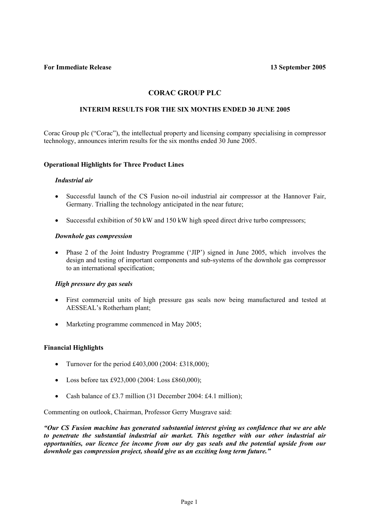**For Immediate Release 13 September 2005** 

# **CORAC GROUP PLC**

## **INTERIM RESULTS FOR THE SIX MONTHS ENDED 30 JUNE 2005**

Corac Group plc ("Corac"), the intellectual property and licensing company specialising in compressor technology, announces interim results for the six months ended 30 June 2005.

## **Operational Highlights for Three Product Lines**

#### *Industrial air*

- Successful launch of the CS Fusion no-oil industrial air compressor at the Hannover Fair, Germany. Trialling the technology anticipated in the near future;
- Successful exhibition of 50 kW and 150 kW high speed direct drive turbo compressors;

#### *Downhole gas compression*

• Phase 2 of the Joint Industry Programme ('JIP') signed in June 2005, which involves the design and testing of important components and sub-systems of the downhole gas compressor to an international specification;

## *High pressure dry gas seals*

- First commercial units of high pressure gas seals now being manufactured and tested at AESSEAL's Rotherham plant;
- Marketing programme commenced in May 2005;

## **Financial Highlights**

- Turnover for the period £403,000 (2004: £318,000);
- Loss before tax £923,000 (2004: Loss £860,000);
- Cash balance of £3.7 million (31 December 2004: £4.1 million);

Commenting on outlook, Chairman, Professor Gerry Musgrave said:

*"Our CS Fusion machine has generated substantial interest giving us confidence that we are able to penetrate the substantial industrial air market. This together with our other industrial air opportunities, our licence fee income from our dry gas seals and the potential upside from our downhole gas compression project, should give us an exciting long term future."*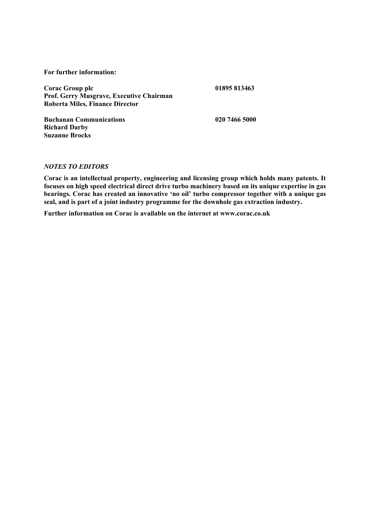**For further information:** 

**Corac Group plc 01895 813463 Prof. Gerry Musgrave, Executive Chairman Roberta Miles, Finance Director** 

**Buchanan Communications 020 7466 5000 Richard Darby Suzanne Brocks** 

## *NOTES TO EDITORS*

**Corac is an intellectual property, engineering and licensing group which holds many patents. It focuses on high speed electrical direct drive turbo machinery based on its unique expertise in gas bearings. Corac has created an innovative 'no oil' turbo compressor together with a unique gas seal, and is part of a joint industry programme for the downhole gas extraction industry.** 

**Further information on Corac is available on the internet at www.corac.co.uk**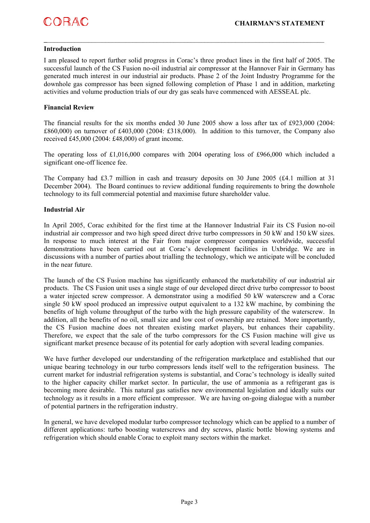#### **Introduction**

I am pleased to report further solid progress in Corac's three product lines in the first half of 2005. The successful launch of the CS Fusion no-oil industrial air compressor at the Hannover Fair in Germany has generated much interest in our industrial air products. Phase 2 of the Joint Industry Programme for the downhole gas compressor has been signed following completion of Phase 1 and in addition, marketing activities and volume production trials of our dry gas seals have commenced with AESSEAL plc.

**\_**\_\_\_\_\_\_\_\_\_\_\_\_\_\_\_\_\_\_\_\_\_\_\_\_\_\_\_\_\_\_\_\_\_\_\_\_\_\_\_\_\_\_\_\_\_\_\_\_\_\_\_\_\_\_\_\_\_\_\_\_\_\_\_\_\_\_\_\_\_\_\_\_\_\_\_\_\_\_\_\_\_

#### **Financial Review**

The financial results for the six months ended 30 June 2005 show a loss after tax of £923,000 (2004: £860,000) on turnover of £403,000 (2004: £318,000). In addition to this turnover, the Company also received £45,000 (2004: £48,000) of grant income.

The operating loss of £1,016,000 compares with 2004 operating loss of £966,000 which included a significant one-off licence fee.

The Company had £3.7 million in cash and treasury deposits on 30 June 2005 (£4.1 million at 31 December 2004). The Board continues to review additional funding requirements to bring the downhole technology to its full commercial potential and maximise future shareholder value.

#### **Industrial Air**

In April 2005, Corac exhibited for the first time at the Hannover Industrial Fair its CS Fusion no-oil industrial air compressor and two high speed direct drive turbo compressors in 50 kW and 150 kW sizes. In response to much interest at the Fair from major compressor companies worldwide, successful demonstrations have been carried out at Corac's development facilities in Uxbridge. We are in discussions with a number of parties about trialling the technology, which we anticipate will be concluded in the near future.

The launch of the CS Fusion machine has significantly enhanced the marketability of our industrial air products. The CS Fusion unit uses a single stage of our developed direct drive turbo compressor to boost a water injected screw compressor. A demonstrator using a modified 50 kW waterscrew and a Corac single 50 kW spool produced an impressive output equivalent to a 132 kW machine, by combining the benefits of high volume throughput of the turbo with the high pressure capability of the waterscrew. In addition, all the benefits of no oil, small size and low cost of ownership are retained. More importantly, the CS Fusion machine does not threaten existing market players, but enhances their capability. Therefore, we expect that the sale of the turbo compressors for the CS Fusion machine will give us significant market presence because of its potential for early adoption with several leading companies.

We have further developed our understanding of the refrigeration marketplace and established that our unique bearing technology in our turbo compressors lends itself well to the refrigeration business. The current market for industrial refrigeration systems is substantial, and Corac's technology is ideally suited to the higher capacity chiller market sector. In particular, the use of ammonia as a refrigerant gas is becoming more desirable. This natural gas satisfies new environmental legislation and ideally suits our technology as it results in a more efficient compressor. We are having on-going dialogue with a number of potential partners in the refrigeration industry.

In general, we have developed modular turbo compressor technology which can be applied to a number of different applications: turbo boosting waterscrews and dry screws, plastic bottle blowing systems and refrigeration which should enable Corac to exploit many sectors within the market.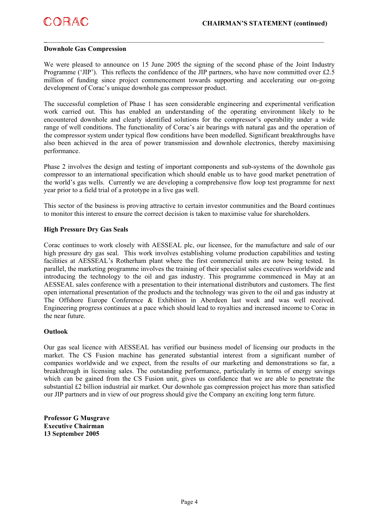

#### **Downhole Gas Compression**

We were pleased to announce on 15 June 2005 the signing of the second phase of the Joint Industry Programme ('JIP'). This reflects the confidence of the JIP partners, who have now committed over £2.5 million of funding since project commencement towards supporting and accelerating our on-going development of Corac's unique downhole gas compressor product.

**\_**\_\_\_\_\_\_\_\_\_\_\_\_\_\_\_\_\_\_\_\_\_\_\_\_\_\_\_\_\_\_\_\_\_\_\_\_\_\_\_\_\_\_\_\_\_\_\_\_\_\_\_\_\_\_\_\_\_\_\_\_\_\_\_\_\_\_\_\_\_\_\_\_\_\_\_\_\_\_\_\_\_

The successful completion of Phase 1 has seen considerable engineering and experimental verification work carried out. This has enabled an understanding of the operating environment likely to be encountered downhole and clearly identified solutions for the compressor's operability under a wide range of well conditions. The functionality of Corac's air bearings with natural gas and the operation of the compressor system under typical flow conditions have been modelled. Significant breakthroughs have also been achieved in the area of power transmission and downhole electronics, thereby maximising performance.

Phase 2 involves the design and testing of important components and sub-systems of the downhole gas compressor to an international specification which should enable us to have good market penetration of the world's gas wells. Currently we are developing a comprehensive flow loop test programme for next year prior to a field trial of a prototype in a live gas well.

This sector of the business is proving attractive to certain investor communities and the Board continues to monitor this interest to ensure the correct decision is taken to maximise value for shareholders.

#### **High Pressure Dry Gas Seals**

Corac continues to work closely with AESSEAL plc, our licensee, for the manufacture and sale of our high pressure dry gas seal. This work involves establishing volume production capabilities and testing facilities at AESSEAL's Rotherham plant where the first commercial units are now being tested. In parallel, the marketing programme involves the training of their specialist sales executives worldwide and introducing the technology to the oil and gas industry. This programme commenced in May at an AESSEAL sales conference with a presentation to their international distributors and customers. The first open international presentation of the products and the technology was given to the oil and gas industry at The Offshore Europe Conference & Exhibition in Aberdeen last week and was well received. Engineering progress continues at a pace which should lead to royalties and increased income to Corac in the near future.

#### **Outlook**

Our gas seal licence with AESSEAL has verified our business model of licensing our products in the market. The CS Fusion machine has generated substantial interest from a significant number of companies worldwide and we expect, from the results of our marketing and demonstrations so far, a breakthrough in licensing sales. The outstanding performance, particularly in terms of energy savings which can be gained from the CS Fusion unit, gives us confidence that we are able to penetrate the substantial £2 billion industrial air market. Our downhole gas compression project has more than satisfied our JIP partners and in view of our progress should give the Company an exciting long term future.

**Professor G Musgrave Executive Chairman 13 September 2005**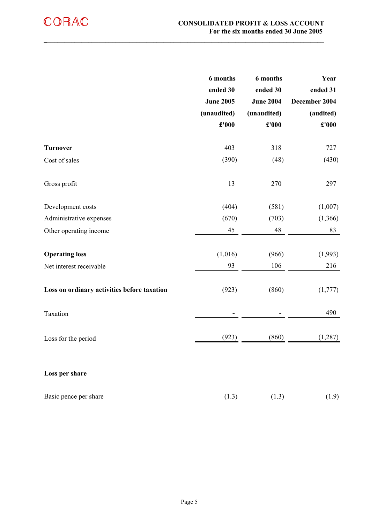|                                             | 6 months<br>ended 30<br><b>June 2005</b><br>(unaudited)<br>£'000 | 6 months<br>ended 30<br><b>June 2004</b><br>(unaudited)<br>$\pmb{\pounds}^{\text{r}}000$ | Year<br>ended 31<br>December 2004<br>(audited)<br>£'000 |
|---------------------------------------------|------------------------------------------------------------------|------------------------------------------------------------------------------------------|---------------------------------------------------------|
| <b>Turnover</b>                             | 403                                                              | 318                                                                                      | 727                                                     |
| Cost of sales                               | (390)                                                            | (48)                                                                                     | (430)                                                   |
| Gross profit                                | 13                                                               | 270                                                                                      | 297                                                     |
| Development costs                           | (404)                                                            | (581)                                                                                    | (1,007)                                                 |
| Administrative expenses                     | (670)                                                            | (703)                                                                                    | (1,366)                                                 |
| Other operating income                      | 45                                                               | 48                                                                                       | 83                                                      |
| <b>Operating loss</b>                       | (1,016)                                                          | (966)                                                                                    | (1,993)                                                 |
| Net interest receivable                     | 93                                                               | 106                                                                                      | 216                                                     |
| Loss on ordinary activities before taxation | (923)                                                            | (860)                                                                                    | (1,777)                                                 |
| Taxation                                    |                                                                  |                                                                                          | 490                                                     |
| Loss for the period                         | (923)                                                            | (860)                                                                                    | (1, 287)                                                |
| Loss per share                              |                                                                  |                                                                                          |                                                         |
| Basic pence per share                       | (1.3)                                                            | (1.3)                                                                                    | (1.9)                                                   |

**\_**\_\_\_\_\_\_\_\_\_\_\_\_\_\_\_\_\_\_\_\_\_\_\_\_\_\_\_\_\_\_\_\_\_\_\_\_\_\_\_\_\_\_\_\_\_\_\_\_\_\_\_\_\_\_\_\_\_\_\_\_\_\_\_\_\_\_\_\_\_\_\_\_\_\_\_\_\_\_\_\_\_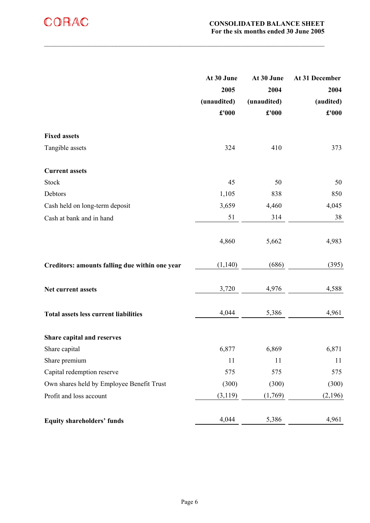|                                                | At 30 June                    | At 30 June  | At 31 December       |
|------------------------------------------------|-------------------------------|-------------|----------------------|
|                                                | 2005                          | 2004        | 2004                 |
|                                                | (unaudited)                   | (unaudited) | (audited)            |
|                                                | $\pmb{\pounds}^{\text{r}}000$ | £'000       | $\pmb{\pounds}$ '000 |
|                                                |                               |             |                      |
| <b>Fixed assets</b>                            |                               |             |                      |
| Tangible assets                                | 324                           | 410         | 373                  |
| <b>Current assets</b>                          |                               |             |                      |
| <b>Stock</b>                                   | 45                            | 50          | 50                   |
| Debtors                                        | 1,105                         | 838         | 850                  |
| Cash held on long-term deposit                 | 3,659                         | 4,460       | 4,045                |
| Cash at bank and in hand                       | 51                            | 314         | 38                   |
|                                                |                               |             |                      |
|                                                | 4,860                         | 5,662       | 4,983                |
| Creditors: amounts falling due within one year | (1,140)                       | (686)       | (395)                |
| Net current assets                             | 3,720                         | 4,976       | 4,588                |
| <b>Total assets less current liabilities</b>   | 4,044                         | 5,386       | 4,961                |
| Share capital and reserves                     |                               |             |                      |
| Share capital                                  | 6,877                         | 6,869       | 6,871                |
| Share premium                                  | 11                            | 11          | 11                   |
| Capital redemption reserve                     | 575                           | 575         | 575                  |
| Own shares held by Employee Benefit Trust      | (300)                         | (300)       | (300)                |
| Profit and loss account                        | (3, 119)                      | (1,769)     | (2,196)              |
| <b>Equity shareholders' funds</b>              | 4,044                         | 5,386       | 4,961                |

 $\_$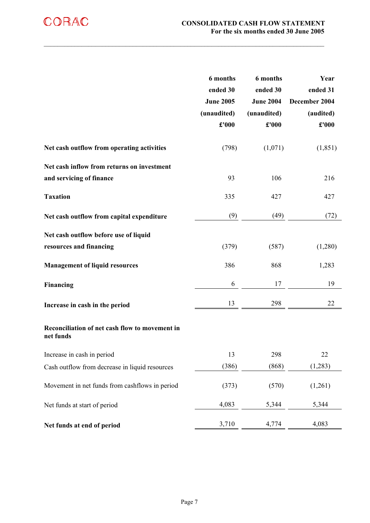|                                                                        | 6 months<br>ended 30<br><b>June 2005</b><br>(unaudited)<br>£'000 | 6 months<br>ended 30<br><b>June 2004</b><br>(unaudited)<br>£'000 | Year<br>ended 31<br>December 2004<br>(audited)<br>£'000 |
|------------------------------------------------------------------------|------------------------------------------------------------------|------------------------------------------------------------------|---------------------------------------------------------|
| Net cash outflow from operating activities                             | (798)                                                            | (1,071)                                                          | (1, 851)                                                |
| Net cash inflow from returns on investment<br>and servicing of finance | 93                                                               | 106                                                              | 216                                                     |
| <b>Taxation</b>                                                        | 335                                                              | 427                                                              | 427                                                     |
| Net cash outflow from capital expenditure                              | (9)                                                              | (49)                                                             | (72)                                                    |
| Net cash outflow before use of liquid<br>resources and financing       | (379)                                                            | (587)                                                            | (1,280)                                                 |
| <b>Management of liquid resources</b>                                  | 386                                                              | 868                                                              | 1,283                                                   |
| Financing                                                              | 6                                                                | 17                                                               | 19                                                      |
| Increase in cash in the period                                         | 13                                                               | 298                                                              | 22                                                      |
| Reconciliation of net cash flow to movement in<br>net funds            |                                                                  |                                                                  |                                                         |
| Increase in cash in period                                             | 13                                                               | 298                                                              | 22                                                      |
| Cash outflow from decrease in liquid resources                         | (386)                                                            | (868)                                                            | (1,283)                                                 |
| Movement in net funds from cashflows in period                         | (373)                                                            | (570)                                                            | (1,261)                                                 |
| Net funds at start of period                                           | 4,083                                                            | 5,344                                                            | 5,344                                                   |
| Net funds at end of period                                             | 3,710                                                            | 4,774                                                            | 4,083                                                   |

 $\mathcal{L}_\mathcal{L} = \{ \mathcal{L}_\mathcal{L} = \{ \mathcal{L}_\mathcal{L} = \{ \mathcal{L}_\mathcal{L} = \{ \mathcal{L}_\mathcal{L} = \{ \mathcal{L}_\mathcal{L} = \{ \mathcal{L}_\mathcal{L} = \{ \mathcal{L}_\mathcal{L} = \{ \mathcal{L}_\mathcal{L} = \{ \mathcal{L}_\mathcal{L} = \{ \mathcal{L}_\mathcal{L} = \{ \mathcal{L}_\mathcal{L} = \{ \mathcal{L}_\mathcal{L} = \{ \mathcal{L}_\mathcal{L} = \{ \mathcal{L}_\mathcal{$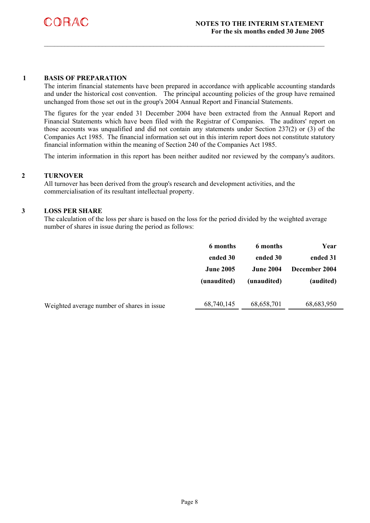

#### **1 BASIS OF PREPARATION**

The interim financial statements have been prepared in accordance with applicable accounting standards and under the historical cost convention. The principal accounting policies of the group have remained unchanged from those set out in the group's 2004 Annual Report and Financial Statements.

 $\_$ 

The figures for the year ended 31 December 2004 have been extracted from the Annual Report and Financial Statements which have been filed with the Registrar of Companies. The auditors' report on those accounts was unqualified and did not contain any statements under Section 237(2) or (3) of the Companies Act 1985. The financial information set out in this interim report does not constitute statutory financial information within the meaning of Section 240 of the Companies Act 1985.

The interim information in this report has been neither audited nor reviewed by the company's auditors.

## **2 TURNOVER**

All turnover has been derived from the group's research and development activities, and the commercialisation of its resultant intellectual property.

#### **3 LOSS PER SHARE**

The calculation of the loss per share is based on the loss for the period divided by the weighted average number of shares in issue during the period as follows:

|                                             | 6 months         | 6 months         | Year          |
|---------------------------------------------|------------------|------------------|---------------|
|                                             | ended 30         | ended 30         | ended 31      |
|                                             | <b>June 2005</b> | <b>June 2004</b> | December 2004 |
|                                             | (unaudited)      | (unaudited)      | (audited)     |
|                                             |                  |                  |               |
|                                             |                  |                  |               |
| Weighted average number of shares in issue. | 68,740,145       | 68,658,701       | 68,683,950    |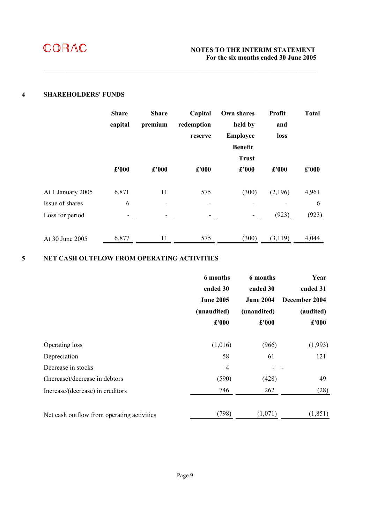

#### **4 SHAREHOLDERS' FUNDS**

|                   | <b>Share</b> | <b>Share</b> | Capital                  | Own shares      | Profit  | <b>Total</b> |
|-------------------|--------------|--------------|--------------------------|-----------------|---------|--------------|
|                   | capital      | premium      | redemption               | held by         | and     |              |
|                   |              |              | reserve                  | <b>Employee</b> | loss    |              |
|                   |              |              |                          | <b>Benefit</b>  |         |              |
|                   |              |              |                          | <b>Trust</b>    |         |              |
|                   | £'000        | £'000        | £'000                    | £'000           | £'000   | £'000        |
| At 1 January 2005 | 6,871        | 11           | 575                      | (300)           | (2,196) | 4,961        |
| Issue of shares   | 6            |              | $\overline{\phantom{a}}$ |                 |         | 6            |
| Loss for period   | ٠            |              | ٠                        |                 | (923)   | (923)        |
| At 30 June 2005   | 6,877        | 11           | 575                      | (300)           | (3,119) | 4,044        |

 $\mathcal{L}_\mathcal{L} = \mathcal{L}_\mathcal{L} = \mathcal{L}_\mathcal{L} = \mathcal{L}_\mathcal{L} = \mathcal{L}_\mathcal{L} = \mathcal{L}_\mathcal{L} = \mathcal{L}_\mathcal{L} = \mathcal{L}_\mathcal{L} = \mathcal{L}_\mathcal{L} = \mathcal{L}_\mathcal{L} = \mathcal{L}_\mathcal{L} = \mathcal{L}_\mathcal{L} = \mathcal{L}_\mathcal{L} = \mathcal{L}_\mathcal{L} = \mathcal{L}_\mathcal{L} = \mathcal{L}_\mathcal{L} = \mathcal{L}_\mathcal{L}$ 

## **5 NET CASH OUTFLOW FROM OPERATING ACTIVITIES**

|                                            | 6 months         | 6 months         | Year          |  |
|--------------------------------------------|------------------|------------------|---------------|--|
|                                            | ended 30         | ended 30         | ended 31      |  |
|                                            | <b>June 2005</b> | <b>June 2004</b> | December 2004 |  |
|                                            | (unaudited)      | (unaudited)      | (audited)     |  |
|                                            | £'000            | £'000            | £'000         |  |
| Operating loss                             | (1,016)          | (966)            | (1,993)       |  |
| Depreciation                               | 58               | 61               | 121           |  |
| Decrease in stocks                         | $\overline{4}$   |                  |               |  |
| (Increase)/decrease in debtors             | (590)            | (428)            | 49            |  |
| Increase/(decrease) in creditors           | 746              | 262              | (28)          |  |
| Net cash outflow from operating activities | (798)            | (1,071)          | (1, 851)      |  |